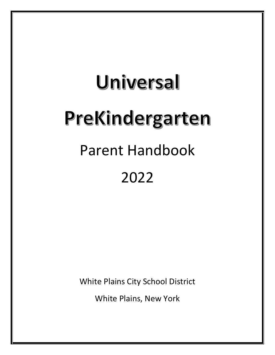# Universal PreKindergarten Parent Handbook 2022

White Plains City School District

White Plains, New York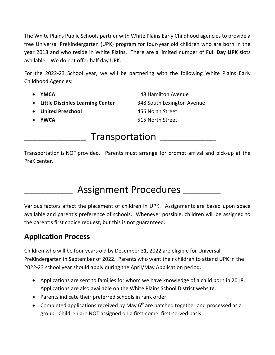The White Plains Public Schools partner with White Plains Early Childhood agencies to provide a free Universal PreKindergarten (UPK) program for four-year old children who are born in the year 2018 and who reside in White Plains. There are a limited number of **Full Day UPK** slots available. We do not offer half day UPK.

For the 2022-23 School year, we will be partnering with the following White Plains Early Childhood Agencies:

- 
- **Little Disciples Learning Center** 348 South Lexington Avenue

• **United Preschool** 456 North Street

• **YMCA** 148 Hamilton Avenue • **YWCA** 515 North Street

## Transportation

Transportation is NOT provided. Parents must arrange for prompt arrival and pick-up at the PreK center.

# Assignment Procedures \_\_\_\_\_\_\_\_

Various factors affect the placement of children in UPK. Assignments are based upon space available and parent's preference of schools. Whenever possible, children will be assigned to the parent's first choice request, but this is not guaranteed.

#### **Application Process**

Children who will be four years old by December 31, 2022 are eligible for Universal PreKindergarten in September of 2022. Parents who want their children to attend UPK in the 2022-23 school year should apply during the April/May Application period.

- Applications are sent to families for whom we have knowledge of a child born in 2018. Applications are also available on the White Plains School District website.
- Parents indicate their preferred schools in rank order.
- Completed applications received by May  $6<sup>th</sup>$  are batched together and processed as a group. Children are NOT assigned on a first-come, first-served basis.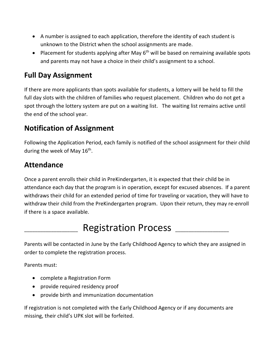- A number is assigned to each application, therefore the identity of each student is unknown to the District when the school assignments are made.
- Placement for students applying after May 6<sup>th</sup> will be based on remaining available spots and parents may not have a choice in their child's assignment to a school.

#### **Full Day Assignment**

If there are more applicants than spots available for students, a lottery will be held to fill the full day slots with the children of families who request placement. Children who do not get a spot through the lottery system are put on a waiting list. The waiting list remains active until the end of the school year.

#### **Notification of Assignment**

Following the Application Period, each family is notified of the school assignment for their child during the week of May 16<sup>th</sup>.

#### **Attendance**

Once a parent enrolls their child in PreKindergarten, it is expected that their child be in attendance each day that the program is in operation, except for excused absences. If a parent withdraws their child for an extended period of time for traveling or vacation, they will have to withdraw their child from the PreKindergarten program. Upon their return, they may re-enroll if there is a space available.

# Registration Process \_\_\_\_\_\_\_\_\_\_\_\_\_

Parents will be contacted in June by the Early Childhood Agency to which they are assigned in order to complete the registration process.

Parents must:

- complete a Registration Form
- provide required residency proof
- provide birth and immunization documentation

If registration is not completed with the Early Childhood Agency or if any documents are missing, their child's UPK slot will be forfeited.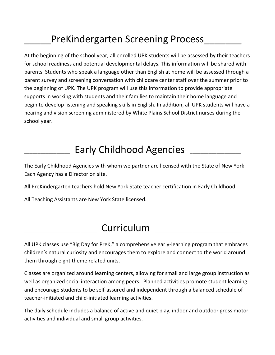# PreKindergarten Screening Process

At the beginning of the school year, all enrolled UPK students will be assessed by their teachers for school readiness and potential developmental delays. This information will be shared with parents. Students who speak a language other than English at home will be assessed through a parent survey and screening conversation with childcare center staff over the summer prior to the beginning of UPK. The UPK program will use this information to provide appropriate supports in working with students and their families to maintain their home language and begin to develop listening and speaking skills in English. In addition, all UPK students will have a hearing and vision screening administered by White Plains School District nurses during the school year.

## Early Childhood Agencies

The Early Childhood Agencies with whom we partner are licensed with the State of New York. Each Agency has a Director on site.

All PreKindergarten teachers hold New York State teacher certification in Early Childhood.

All Teaching Assistants are New York State licensed.

## Curriculum

All UPK classes use "Big Day for PreK," a comprehensive early-learning program that embraces children's natural curiosity and encourages them to explore and connect to the world around them through eight theme related units.

Classes are organized around learning centers, allowing for small and large group instruction as well as organized social interaction among peers. Planned activities promote student learning and encourage students to be self-assured and independent through a balanced schedule of teacher-initiated and child-initiated learning activities.

The daily schedule includes a balance of active and quiet play, indoor and outdoor gross motor activities and individual and small group activities.